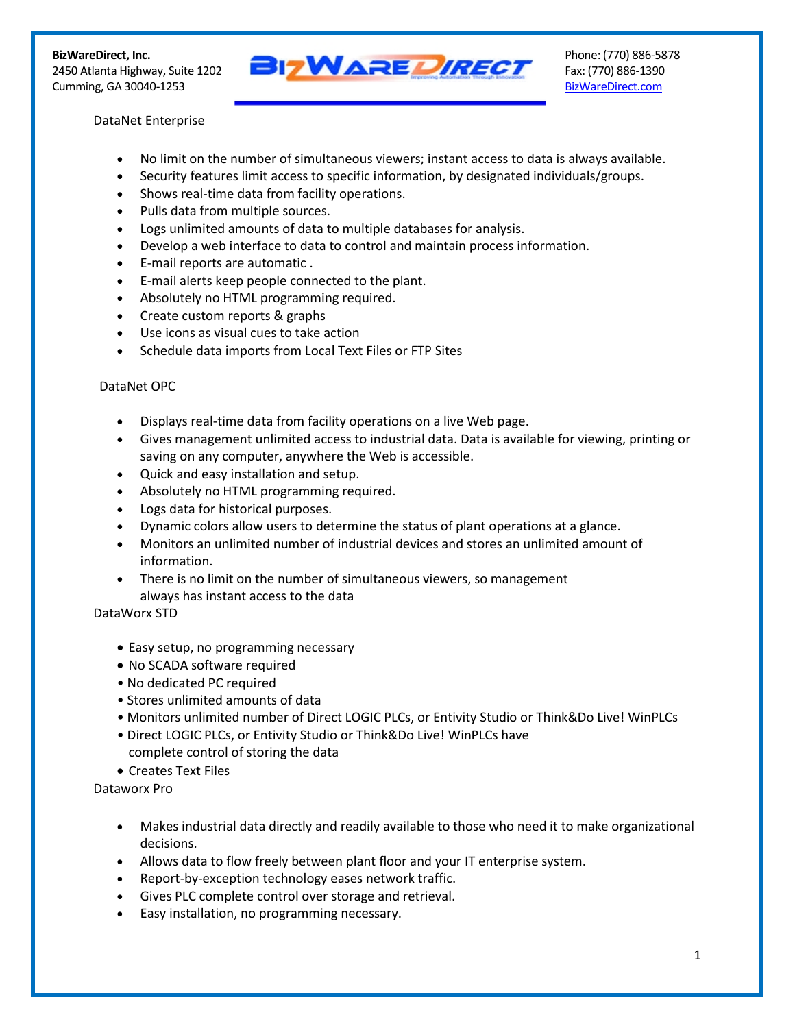Cumming, GA 30040-1253 BizWareDirect.com



## DataNet Enterprise

- No limit on the number of simultaneous viewers; instant access to data is always available.
- Security features limit access to specific information, by designated individuals/groups.
- Shows real-time data from facility operations.
- Pulls data from multiple sources.
- Logs unlimited amounts of data to multiple databases for analysis.
- Develop a web interface to data to control and maintain process information.
- E-mail reports are automatic .
- E-mail alerts keep people connected to the plant.
- Absolutely no HTML programming required.
- Create custom reports & graphs
- Use icons as visual cues to take action
- Schedule data imports from Local Text Files or FTP Sites

## DataNet OPC

- Displays real-time data from facility operations on a live Web page.
- Gives management unlimited access to industrial data. Data is available for viewing, printing or saving on any computer, anywhere the Web is accessible.
- Quick and easy installation and setup.
- Absolutely no HTML programming required.
- Logs data for historical purposes.
- Dynamic colors allow users to determine the status of plant operations at a glance.
- Monitors an unlimited number of industrial devices and stores an unlimited amount of information.
- There is no limit on the number of simultaneous viewers, so management always has instant access to the data

## DataWorx STD

- Easy setup, no programming necessary
- No SCADA software required
- No dedicated PC required
- Stores unlimited amounts of data
- Monitors unlimited number of Direct LOGIC PLCs, or Entivity Studio or Think&Do Live! WinPLCs
- Direct LOGIC PLCs, or Entivity Studio or Think&Do Live! WinPLCs have complete control of storing the data
- Creates Text Files

Dataworx Pro

- Makes industrial data directly and readily available to those who need it to make organizational decisions.
- Allows data to flow freely between plant floor and your IT enterprise system.
- Report-by-exception technology eases network traffic.
- Gives PLC complete control over storage and retrieval.
- Easy installation, no programming necessary.